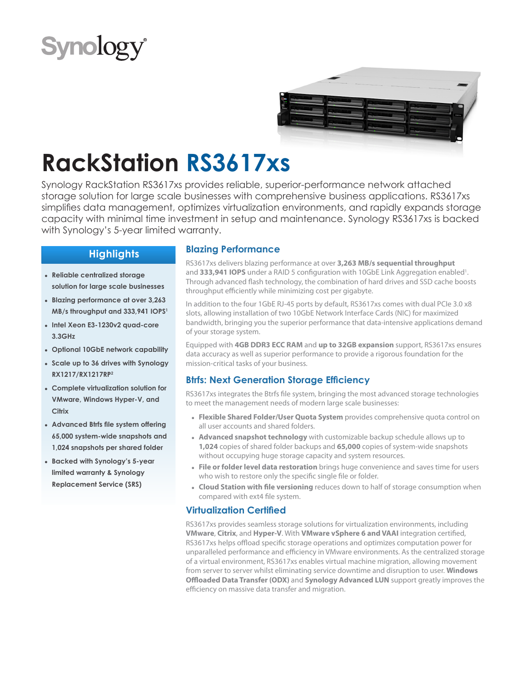# **Synolog**



## **RackStation RS3617xs**

Synology RackStation RS3617xs provides reliable, superior-performance network attached storage solution for large scale businesses with comprehensive business applications. RS3617xs simplifies data management, optimizes virtualization environments, and rapidly expands storage capacity with minimal time investment in setup and maintenance. Synology RS3617xs is backed with Synology's 5-year limited warranty.

## **Highlights**

- **● Reliable centralized storage solution for large scale businesses**
- **● Blazing performance at over 3,263 MB/s throughput and 333,941 IOPS<sup>1</sup>**
- **● Intel Xeon E3-1230v2 quad-core 3.3GHz**
- **● Optional 10GbE network capability**
- **● Scale up to 36 drives with Synology RX1217/RX1217RP<sup>2</sup>**
- **● Complete virtualization solution for VMware, Windows Hyper-V, and Citrix**
- **● Advanced Btrfs file system offering 65,000 system-wide snapshots and 1,024 snapshots per shared folder**
- **● Backed with Synology's 5-year limited warranty & Synology Replacement Service (SRS)**

#### **Blazing Performance**

RS3617xs delivers blazing performance at over **3,263 MB/s sequential throughput** and 333,941 IOPS under a RAID 5 configuration with 10GbE Link Aggregation enabled<sup>1</sup>. Through advanced flash technology, the combination of hard drives and SSD cache boosts throughput efficiently while minimizing cost per gigabyte.

In addition to the four 1GbE RJ-45 ports by default, RS3617xs comes with dual PCIe 3.0 x8 slots, allowing installation of two 10GbE Network Interface Cards (NIC) for maximized bandwidth, bringing you the superior performance that data-intensive applications demand of your storage system.

Equipped with **4GB DDR3 ECC RAM** and **up to 32GB expansion** support, RS3617xs ensures data accuracy as well as superior performance to provide a rigorous foundation for the mission-critical tasks of your business.

## **Btrfs: Next Generation Storage Efficiency**

RS3617xs integrates the Btrfs file system, bringing the most advanced storage technologies to meet the management needs of modern large scale businesses:

- **● Flexible Shared Folder/User Quota System** provides comprehensive quota control on all user accounts and shared folders.
- **● Advanced snapshot technology** with customizable backup schedule allows up to **1,024** copies of shared folder backups and **65,000** copies of system-wide snapshots without occupying huge storage capacity and system resources.
- **● File or folder level data restoration** brings huge convenience and saves time for users who wish to restore only the specific single file or folder.
- **● Cloud Station with file versioning** reduces down to half of storage consumption when compared with ext4 file system.

## **Virtualization Certified**

RS3617xs provides seamless storage solutions for virtualization environments, including **VMware**, **Citrix**, and **Hyper-V**. With **VMware vSphere 6 and VAAI** integration certified, RS3617xs helps offload specific storage operations and optimizes computation power for unparalleled performance and efficiency in VMware environments. As the centralized storage of a virtual environment, RS3617xs enables virtual machine migration, allowing movement from server to server whilst eliminating service downtime and disruption to user. **Windows Offloaded Data Transfer (ODX)** and **Synology Advanced LUN** support greatly improves the efficiency on massive data transfer and migration.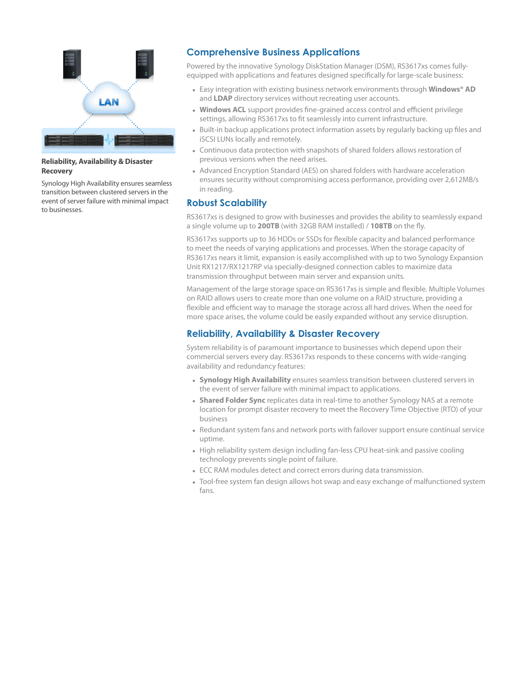

#### **Reliability, Availability & Disaster Recovery**

Synology High Availability ensures seamless transition between clustered servers in the event of server failure with minimal impact to businesses.

## **Comprehensive Business Applications**

Powered by the innovative Synology DiskStation Manager (DSM), RS3617xs comes fullyequipped with applications and features designed specifically for large-scale business:

- **●** Easy integration with existing business network environments through **Windows® AD** and **LDAP** directory services without recreating user accounts.
- **Windows ACL** support provides fine-grained access control and efficient privilege settings, allowing RS3617xs to fit seamlessly into current infrastructure.
- **●** Built-in backup applications protect information assets by regularly backing up files and iSCSI LUNs locally and remotely.
- **●** Continuous data protection with snapshots of shared folders allows restoration of previous versions when the need arises.
- **●** Advanced Encryption Standard (AES) on shared folders with hardware acceleration ensures security without compromising access performance, providing over 2,612MB/s in reading.

#### **Robust Scalability**

RS3617xs is designed to grow with businesses and provides the ability to seamlessly expand a single volume up to **200TB** (with 32GB RAM installed) / **108TB** on the fly.

RS3617xs supports up to 36 HDDs or SSDs for flexible capacity and balanced performance to meet the needs of varying applications and processes. When the storage capacity of RS3617xs nears it limit, expansion is easily accomplished with up to two Synology Expansion Unit RX1217/RX1217RP via specially-designed connection cables to maximize data transmission throughput between main server and expansion units.

Management of the large storage space on RS3617xs is simple and flexible. Multiple Volumes on RAID allows users to create more than one volume on a RAID structure, providing a flexible and efficient way to manage the storage across all hard drives. When the need for more space arises, the volume could be easily expanded without any service disruption.

## **Reliability, Availability & Disaster Recovery**

System reliability is of paramount importance to businesses which depend upon their commercial servers every day. RS3617xs responds to these concerns with wide-ranging availability and redundancy features:

- **● Synology High Availability** ensures seamless transition between clustered servers in the event of server failure with minimal impact to applications.
- **● Shared Folder Sync** replicates data in real-time to another Synology NAS at a remote location for prompt disaster recovery to meet the Recovery Time Objective (RTO) of your business
- **●** Redundant system fans and network ports with failover support ensure continual service uptime.
- **●** High reliability system design including fan-less CPU heat-sink and passive cooling technology prevents single point of failure.
- **●** ECC RAM modules detect and correct errors during data transmission.
- **●** Tool-free system fan design allows hot swap and easy exchange of malfunctioned system fans.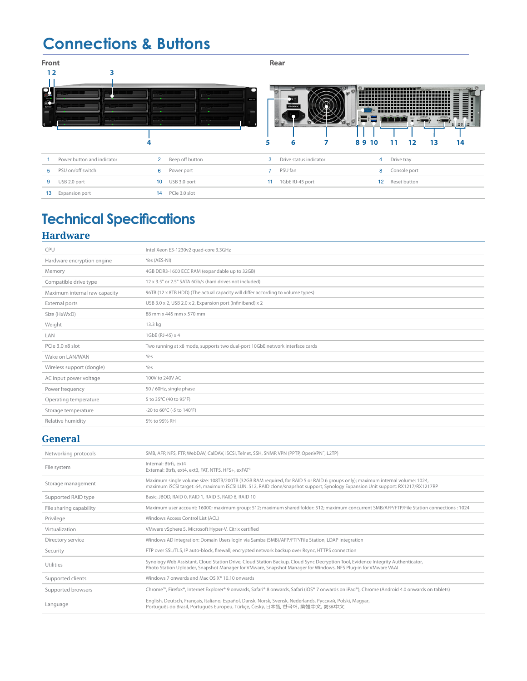## **Connections & Buttons**

| <b>Front</b> |                            |                |                 |                 | Rear                              |                |            |              |    |             |
|--------------|----------------------------|----------------|-----------------|-----------------|-----------------------------------|----------------|------------|--------------|----|-------------|
| 12           | 3                          |                |                 |                 |                                   |                |            |              |    |             |
| о<br>릴       |                            | . .            | REMINN          | 5               | 00-240VAC<br><b>COL</b><br>6<br>7 | ிராபா<br>89 10 | 11         | 12           | 13 | 112.5<br>14 |
|              | Power button and indicator | $\overline{2}$ | Beep off button | 3               | Drive status indicator            | 4              | Drive tray |              |    |             |
| 5            | PSU on/off switch          | 6              | Power port      | $\overline{7}$  | PSU fan                           | 8              |            | Console port |    |             |
| 9            | USB 2.0 port               | 10             | USB 3.0 port    | 11 <sub>1</sub> | 1GbE RJ-45 port                   | 12             |            | Reset button |    |             |
| 13           | Expansion port             | 14             | PCle 3.0 slot   |                 |                                   |                |            |              |    |             |

## **Technical Specifications Hardware**

| Intel Xeon E3-1230v2 quad-core 3.3GHz                                           |
|---------------------------------------------------------------------------------|
| Yes (AES-NI)                                                                    |
| 4GB DDR3-1600 ECC RAM (expandable up to 32GB)                                   |
| 12 x 3.5" or 2.5" SATA 6Gb/s (hard drives not included)                         |
| 96TB (12 x 8TB HDD) (The actual capacity will differ according to volume types) |
| USB 3.0 x 2, USB 2.0 x 2, Expansion port (Infiniband) x 2                       |
| 88 mm x 445 mm x 570 mm                                                         |
| 13.3 kg                                                                         |
| 1GbE (RJ-45) x 4                                                                |
| Two running at x8 mode, supports two dual-port 10GbE network interface cards    |
| Yes                                                                             |
| Yes                                                                             |
| 100V to 240V AC                                                                 |
| 50 / 60Hz, single phase                                                         |
| 5 to 35°C (40 to 95°F)                                                          |
| -20 to 60°C (-5 to 140°F)                                                       |
| 5% to 95% RH                                                                    |
|                                                                                 |

## **General**

| Networking protocols    | SMB, AFP, NFS, FTP, WebDAV, CalDAV, iSCSI, Telnet, SSH, SNMP, VPN (PPTP, OpenVPN", L2TP)                                                                                                                                                                         |
|-------------------------|------------------------------------------------------------------------------------------------------------------------------------------------------------------------------------------------------------------------------------------------------------------|
| File system             | Internal: Btrfs, ext4<br>External: Btrfs, ext4, ext3, FAT, NTFS, HFS+, exFAT <sup>3</sup>                                                                                                                                                                        |
| Storage management      | Maximum single volume size: 108TB/200TB (32GB RAM required, for RAID 5 or RAID 6 groups only); maximum internal volume: 1024,<br>maximum iSCSI target: 64, maximum iSCSI LUN: 512, RAID clone/snapshot support; Synology Expansion Unit support: RX1217/RX1217RP |
| Supported RAID type     | Basic, JBOD, RAID 0, RAID 1, RAID 5, RAID 6, RAID 10                                                                                                                                                                                                             |
| File sharing capability | Maximum user account: 16000; maximum group: 512; maximum shared folder: 512; maximum concurrent SMB/AFP/FTP/File Station connections : 1024                                                                                                                      |
| Privilege               | Windows Access Control List (ACL)                                                                                                                                                                                                                                |
| Virtualization          | VMware vSphere 5, Microsoft Hyper-V, Citrix certified                                                                                                                                                                                                            |
| Directory service       | Windows AD integration: Domain Users login via Samba (SMB)/AFP/FTP/File Station, LDAP integration                                                                                                                                                                |
| Security                | FTP over SSL/TLS, IP auto-block, firewall, encrypted network backup over Rsync, HTTPS connection                                                                                                                                                                 |
| Utilities               | Synology Web Assistant, Cloud Station Drive, Cloud Station Backup, Cloud Sync Decryption Tool, Evidence Integrity Authenticator,<br>Photo Station Uploader, Snapshot Manager for VMware, Snapshot Manager for Windows, NFS Plug-in for VMware VAAI               |
| Supported clients       | Windows 7 onwards and Mac OS X <sup>®</sup> 10.10 onwards                                                                                                                                                                                                        |
| Supported browsers      | Chrome™, Firefox®, Internet Explorer® 9 onwards, Safari® 8 onwards, Safari (iOS® 7 onwards on iPad®), Chrome (Android 4.0 onwards on tablets)                                                                                                                    |
| Language                | English, Deutsch, Français, Italiano, Español, Dansk, Norsk, Svensk, Nederlands, Русский, Polski, Magyar,<br>Portuquês do Brasil, Portuquês Europeu, Türkçe, Český, 日本語, 한국어, 繁體中文, 简体中文                                                                         |
|                         |                                                                                                                                                                                                                                                                  |